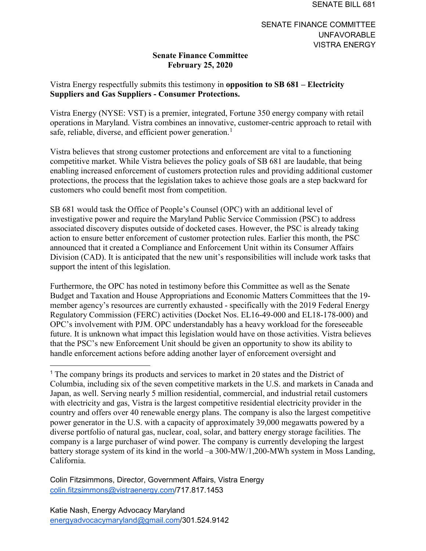## **Senate Finance Committee February 25, 2020**

## Vistra Energy respectfully submits this testimony in **opposition to SB 681 – Electricity Suppliers and Gas Suppliers - Consumer Protections.**

Vistra Energy (NYSE: VST) is a premier, integrated, Fortune 350 energy company with retail operations in Maryland. Vistra combines an innovative, customer-centric approach to retail with safe, reliable, diverse, and efficient power generation.<sup>[1](#page-0-0)</sup>

Vistra believes that strong customer protections and enforcement are vital to a functioning competitive market. While Vistra believes the policy goals of SB 681 are laudable, that being enabling increased enforcement of customers protection rules and providing additional customer protections, the process that the legislation takes to achieve those goals are a step backward for customers who could benefit most from competition.

SB 681 would task the Office of People's Counsel (OPC) with an additional level of investigative power and require the Maryland Public Service Commission (PSC) to address associated discovery disputes outside of docketed cases. However, the PSC is already taking action to ensure better enforcement of customer protection rules. Earlier this month, the PSC announced that it created a Compliance and Enforcement Unit within its Consumer Affairs Division (CAD). It is anticipated that the new unit's responsibilities will include work tasks that support the intent of this legislation.

Furthermore, the OPC has noted in testimony before this Committee as well as the Senate Budget and Taxation and House Appropriations and Economic Matters Committees that the 19 member agency's resources are currently exhausted - specifically with the 2019 Federal Energy Regulatory Commission (FERC) activities (Docket Nos. EL16-49-000 and EL18-178-000) and OPC's involvement with PJM. OPC understandably has a heavy workload for the foreseeable future. It is unknown what impact this legislation would have on those activities. Vistra believes that the PSC's new Enforcement Unit should be given an opportunity to show its ability to handle enforcement actions before adding another layer of enforcement oversight and

Colin Fitzsimmons, Director, Government Affairs, Vistra Energy [colin.fitzsimmons@vistraenergy.com/](mailto:colin.fitzsimmons@vistraenergy.com)717.817.1453

<span id="page-0-0"></span><sup>&</sup>lt;sup>1</sup> The company brings its products and services to market in 20 states and the District of Columbia, including six of the seven competitive markets in the U.S. and markets in Canada and Japan, as well. Serving nearly 5 million residential, commercial, and industrial retail customers with electricity and gas, Vistra is the largest competitive residential electricity provider in the country and offers over 40 renewable energy plans. The company is also the largest competitive power generator in the U.S. with a capacity of approximately 39,000 megawatts powered by a diverse portfolio of natural gas, nuclear, coal, solar, and battery energy storage facilities. The company is a large purchaser of wind power. The company is currently developing the largest battery storage system of its kind in the world –a 300-MW/1,200-MWh system in Moss Landing, California.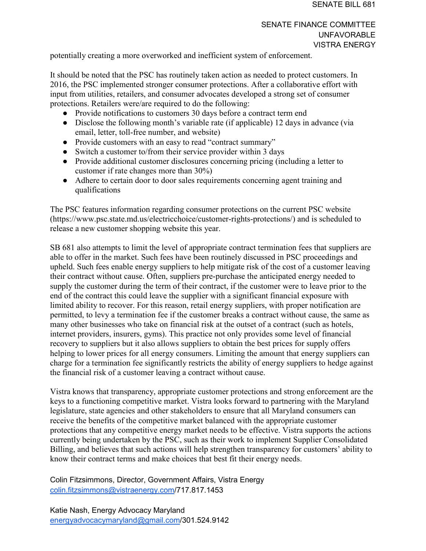## SENATE FINANCE COMMITTEE UNFAVORABLE VISTRA ENERGY

potentially creating a more overworked and inefficient system of enforcement.

It should be noted that the PSC has routinely taken action as needed to protect customers. In 2016, the PSC implemented stronger consumer protections. After a collaborative effort with input from utilities, retailers, and consumer advocates developed a strong set of consumer protections. Retailers were/are required to do the following:

- Provide notifications to customers 30 days before a contract term end
- Disclose the following month's variable rate (if applicable) 12 days in advance (via email, letter, toll-free number, and website)
- Provide customers with an easy to read "contract summary"
- Switch a customer to/from their service provider within 3 days
- Provide additional customer disclosures concerning pricing (including a letter to customer if rate changes more than 30%)
- Adhere to certain door to door sales requirements concerning agent training and qualifications

The PSC features information regarding consumer protections on the current PSC website (https://www.psc.state.md.us/electricchoice/customer-rights-protections/) and is scheduled to release a new customer shopping website this year.

SB 681 also attempts to limit the level of appropriate contract termination fees that suppliers are able to offer in the market. Such fees have been routinely discussed in PSC proceedings and upheld. Such fees enable energy suppliers to help mitigate risk of the cost of a customer leaving their contract without cause. Often, suppliers pre-purchase the anticipated energy needed to supply the customer during the term of their contract, if the customer were to leave prior to the end of the contract this could leave the supplier with a significant financial exposure with limited ability to recover. For this reason, retail energy suppliers, with proper notification are permitted, to levy a termination fee if the customer breaks a contract without cause, the same as many other businesses who take on financial risk at the outset of a contract (such as hotels, internet providers, insurers, gyms). This practice not only provides some level of financial recovery to suppliers but it also allows suppliers to obtain the best prices for supply offers helping to lower prices for all energy consumers. Limiting the amount that energy suppliers can charge for a termination fee significantly restricts the ability of energy suppliers to hedge against the financial risk of a customer leaving a contract without cause.

Vistra knows that transparency, appropriate customer protections and strong enforcement are the keys to a functioning competitive market. Vistra looks forward to partnering with the Maryland legislature, state agencies and other stakeholders to ensure that all Maryland consumers can receive the benefits of the competitive market balanced with the appropriate customer protections that any competitive energy market needs to be effective. Vistra supports the actions currently being undertaken by the PSC, such as their work to implement Supplier Consolidated Billing, and believes that such actions will help strengthen transparency for customers' ability to know their contract terms and make choices that best fit their energy needs.

Colin Fitzsimmons, Director, Government Affairs, Vistra Energy [colin.fitzsimmons@vistraenergy.com/](mailto:colin.fitzsimmons@vistraenergy.com)717.817.1453